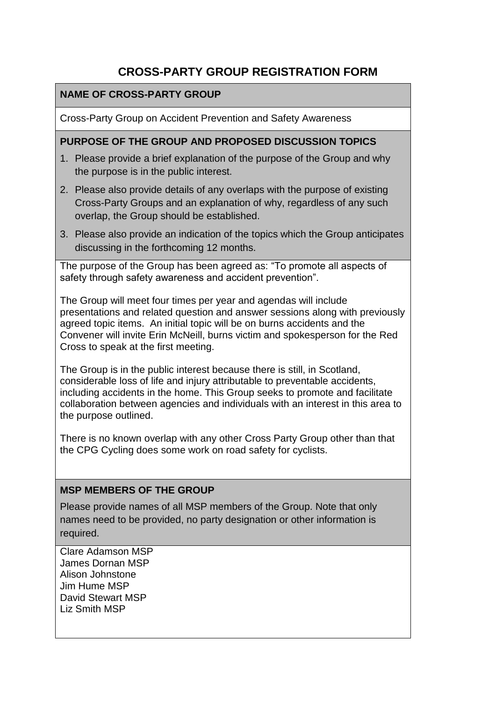# **CROSS-PARTY GROUP REGISTRATION FORM**

### **NAME OF CROSS-PARTY GROUP**

Cross-Party Group on Accident Prevention and Safety Awareness

### **PURPOSE OF THE GROUP AND PROPOSED DISCUSSION TOPICS**

- 1. Please provide a brief explanation of the purpose of the Group and why the purpose is in the public interest.
- 2. Please also provide details of any overlaps with the purpose of existing Cross-Party Groups and an explanation of why, regardless of any such overlap, the Group should be established.
- 3. Please also provide an indication of the topics which the Group anticipates discussing in the forthcoming 12 months.

The purpose of the Group has been agreed as: "To promote all aspects of safety through safety awareness and accident prevention".

The Group will meet four times per year and agendas will include presentations and related question and answer sessions along with previously agreed topic items. An initial topic will be on burns accidents and the Convener will invite Erin McNeill, burns victim and spokesperson for the Red Cross to speak at the first meeting.

The Group is in the public interest because there is still, in Scotland, considerable loss of life and injury attributable to preventable accidents, including accidents in the home. This Group seeks to promote and facilitate collaboration between agencies and individuals with an interest in this area to the purpose outlined.

There is no known overlap with any other Cross Party Group other than that the CPG Cycling does some work on road safety for cyclists.

#### **MSP MEMBERS OF THE GROUP**

Please provide names of all MSP members of the Group. Note that only names need to be provided, no party designation or other information is required.

Clare Adamson MSP James Dornan MSP Alison Johnstone Jim Hume MSP David Stewart MSP Liz Smith MSP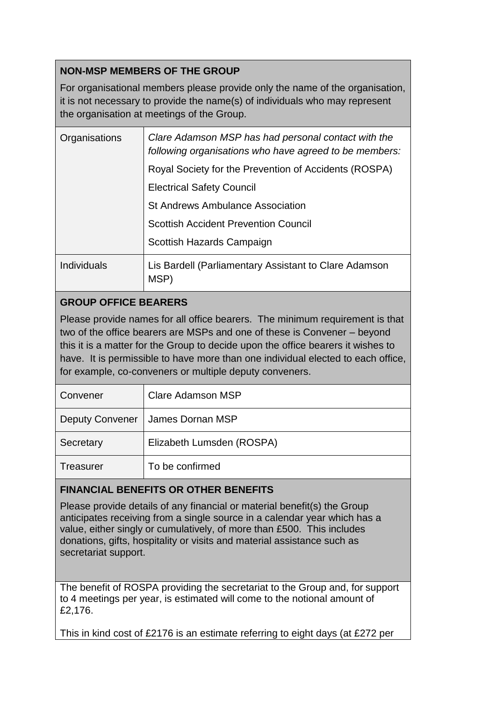### **NON-MSP MEMBERS OF THE GROUP**

For organisational members please provide only the name of the organisation, it is not necessary to provide the name(s) of individuals who may represent the organisation at meetings of the Group.

| Organisations      | Clare Adamson MSP has had personal contact with the<br>following organisations who have agreed to be members: |
|--------------------|---------------------------------------------------------------------------------------------------------------|
|                    | Royal Society for the Prevention of Accidents (ROSPA)                                                         |
|                    | <b>Electrical Safety Council</b>                                                                              |
|                    | St Andrews Ambulance Association                                                                              |
|                    | <b>Scottish Accident Prevention Council</b>                                                                   |
|                    | Scottish Hazards Campaign                                                                                     |
| <b>Individuals</b> | Lis Bardell (Parliamentary Assistant to Clare Adamson<br><b>MSP</b>                                           |

## **GROUP OFFICE BEARERS**

Please provide names for all office bearers. The minimum requirement is that two of the office bearers are MSPs and one of these is Convener – beyond this it is a matter for the Group to decide upon the office bearers it wishes to have. It is permissible to have more than one individual elected to each office, for example, co-conveners or multiple deputy conveners.

| Convener               | Clare Adamson MSP         |
|------------------------|---------------------------|
| <b>Deputy Convener</b> | James Dornan MSP          |
| Secretary              | Elizabeth Lumsden (ROSPA) |
| <b>Treasurer</b>       | To be confirmed           |

### **FINANCIAL BENEFITS OR OTHER BENEFITS**

Please provide details of any financial or material benefit(s) the Group anticipates receiving from a single source in a calendar year which has a value, either singly or cumulatively, of more than £500. This includes donations, gifts, hospitality or visits and material assistance such as secretariat support.

The benefit of ROSPA providing the secretariat to the Group and, for support to 4 meetings per year, is estimated will come to the notional amount of £2,176.

This in kind cost of £2176 is an estimate referring to eight days (at £272 per